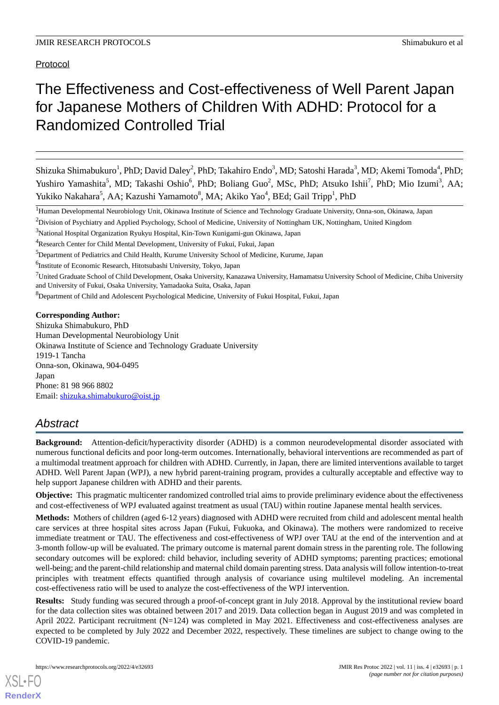Protocol

# The Effectiveness and Cost-effectiveness of Well Parent Japan for Japanese Mothers of Children With ADHD: Protocol for a Randomized Controlled Trial

Shizuka Shimabukuro<sup>1</sup>, PhD; David Daley<sup>2</sup>, PhD; Takahiro Endo<sup>3</sup>, MD; Satoshi Harada<sup>3</sup>, MD; Akemi Tomoda<sup>4</sup>, PhD; Yushiro Yamashita<sup>5</sup>, MD; Takashi Oshio<sup>6</sup>, PhD; Boliang Guo<sup>2</sup>, MSc, PhD; Atsuko Ishii<sup>7</sup>, PhD; Mio Izumi<sup>3</sup>, AA; Yukiko Nakahara<sup>5</sup>, AA; Kazushi Yamamoto<sup>8</sup>, MA; Akiko Yao<sup>4</sup>, BEd; Gail Tripp<sup>1</sup>, PhD

<sup>1</sup>Human Developmental Neurobiology Unit, Okinawa Institute of Science and Technology Graduate University, Onna-son, Okinawa, Japan

<sup>2</sup>Division of Psychiatry and Applied Psychology, School of Medicine, University of Nottingham UK, Nottingham, United Kingdom

<sup>3</sup>National Hospital Organization Ryukyu Hospital, Kin-Town Kunigami-gun Okinawa, Japan

<sup>5</sup>Department of Pediatrics and Child Health, Kurume University School of Medicine, Kurume, Japan

6 Institute of Economic Research, Hitotsubashi University, Tokyo, Japan

 $7$ United Graduate School of Child Development, Osaka University, Kanazawa University, Hamamatsu University School of Medicine, Chiba University and University of Fukui, Osaka University, Yamadaoka Suita, Osaka, Japan

<sup>8</sup>Department of Child and Adolescent Psychological Medicine, University of Fukui Hospital, Fukui, Japan

**Corresponding Author:**

Shizuka Shimabukuro, PhD Human Developmental Neurobiology Unit Okinawa Institute of Science and Technology Graduate University 1919-1 Tancha Onna-son, Okinawa, 904-0495 Japan Phone: 81 98 966 8802 Email: [shizuka.shimabukuro@oist.jp](mailto:shizuka.shimabukuro@oist.jp)

# *Abstract*

**Background:** Attention-deficit/hyperactivity disorder (ADHD) is a common neurodevelopmental disorder associated with numerous functional deficits and poor long-term outcomes. Internationally, behavioral interventions are recommended as part of a multimodal treatment approach for children with ADHD. Currently, in Japan, there are limited interventions available to target ADHD. Well Parent Japan (WPJ), a new hybrid parent-training program, provides a culturally acceptable and effective way to help support Japanese children with ADHD and their parents.

**Objective:** This pragmatic multicenter randomized controlled trial aims to provide preliminary evidence about the effectiveness and cost-effectiveness of WPJ evaluated against treatment as usual (TAU) within routine Japanese mental health services.

**Methods:** Mothers of children (aged 6-12 years) diagnosed with ADHD were recruited from child and adolescent mental health care services at three hospital sites across Japan (Fukui, Fukuoka, and Okinawa). The mothers were randomized to receive immediate treatment or TAU. The effectiveness and cost-effectiveness of WPJ over TAU at the end of the intervention and at 3-month follow-up will be evaluated. The primary outcome is maternal parent domain stress in the parenting role. The following secondary outcomes will be explored: child behavior, including severity of ADHD symptoms; parenting practices; emotional well-being; and the parent-child relationship and maternal child domain parenting stress. Data analysis will follow intention-to-treat principles with treatment effects quantified through analysis of covariance using multilevel modeling. An incremental cost-effectiveness ratio will be used to analyze the cost-effectiveness of the WPJ intervention.

**Results:** Study funding was secured through a proof-of-concept grant in July 2018. Approval by the institutional review board for the data collection sites was obtained between 2017 and 2019. Data collection began in August 2019 and was completed in April 2022. Participant recruitment (N=124) was completed in May 2021. Effectiveness and cost-effectiveness analyses are expected to be completed by July 2022 and December 2022, respectively. These timelines are subject to change owing to the COVID-19 pandemic.

<sup>4</sup>Research Center for Child Mental Development, University of Fukui, Fukui, Japan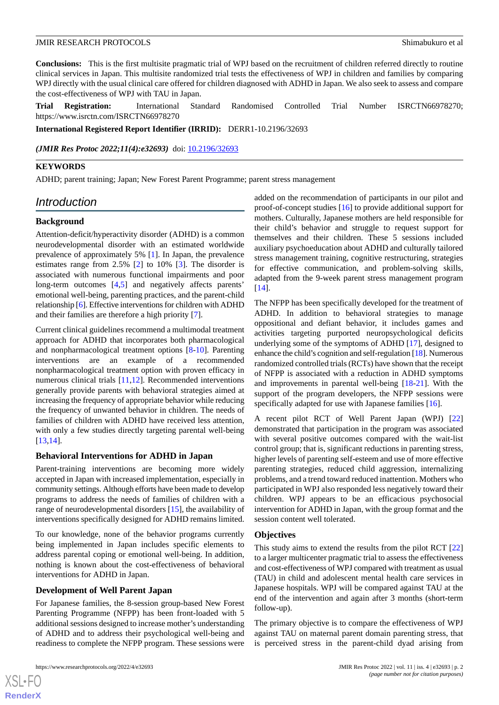**Conclusions:** This is the first multisite pragmatic trial of WPJ based on the recruitment of children referred directly to routine clinical services in Japan. This multisite randomized trial tests the effectiveness of WPJ in children and families by comparing WPJ directly with the usual clinical care offered for children diagnosed with ADHD in Japan. We also seek to assess and compare the cost-effectiveness of WPJ with TAU in Japan.

**Trial Registration:** International Standard Randomised Controlled Trial Number ISRCTN66978270; https://www.isrctn.com/ISRCTN66978270

**International Registered Report Identifier (IRRID):** DERR1-10.2196/32693

*(JMIR Res Protoc 2022;11(4):e32693)* doi:  $10.2196/32693$ 

#### **KEYWORDS**

ADHD; parent training; Japan; New Forest Parent Programme; parent stress management

# *Introduction*

#### **Background**

Attention-deficit/hyperactivity disorder (ADHD) is a common neurodevelopmental disorder with an estimated worldwide prevalence of approximately 5% [\[1](#page-10-0)]. In Japan, the prevalence estimates range from 2.5% [\[2\]](#page-10-1) to 10% [\[3](#page-10-2)]. The disorder is associated with numerous functional impairments and poor long-term outcomes [\[4](#page-10-3),[5\]](#page-10-4) and negatively affects parents' emotional well-being, parenting practices, and the parent-child relationship [[6\]](#page-10-5). Effective interventions for children with ADHD and their families are therefore a high priority [\[7](#page-10-6)].

Current clinical guidelines recommend a multimodal treatment approach for ADHD that incorporates both pharmacological and nonpharmacological treatment options [\[8](#page-10-7)-[10\]](#page-10-8). Parenting interventions are an example of a recommended nonpharmacological treatment option with proven efficacy in numerous clinical trials [[11,](#page-10-9)[12](#page-10-10)]. Recommended interventions generally provide parents with behavioral strategies aimed at increasing the frequency of appropriate behavior while reducing the frequency of unwanted behavior in children. The needs of families of children with ADHD have received less attention, with only a few studies directly targeting parental well-being [[13](#page-10-11)[,14](#page-10-12)].

#### **Behavioral Interventions for ADHD in Japan**

Parent-training interventions are becoming more widely accepted in Japan with increased implementation, especially in community settings. Although efforts have been made to develop programs to address the needs of families of children with a range of neurodevelopmental disorders [[15\]](#page-10-13), the availability of interventions specifically designed for ADHD remains limited.

To our knowledge, none of the behavior programs currently being implemented in Japan includes specific elements to address parental coping or emotional well-being. In addition, nothing is known about the cost-effectiveness of behavioral interventions for ADHD in Japan.

#### **Development of Well Parent Japan**

For Japanese families, the 8-session group-based New Forest Parenting Programme (NFPP) has been front-loaded with 5 additional sessions designed to increase mother's understanding of ADHD and to address their psychological well-being and readiness to complete the NFPP program. These sessions were

[XSL](http://www.w3.org/Style/XSL)•FO **[RenderX](http://www.renderx.com/)** added on the recommendation of participants in our pilot and proof-of-concept studies [\[16](#page-11-0)] to provide additional support for mothers. Culturally, Japanese mothers are held responsible for their child's behavior and struggle to request support for themselves and their children. These 5 sessions included auxiliary psychoeducation about ADHD and culturally tailored stress management training, cognitive restructuring, strategies for effective communication, and problem-solving skills, adapted from the 9-week parent stress management program [[14\]](#page-10-12).

The NFPP has been specifically developed for the treatment of ADHD. In addition to behavioral strategies to manage oppositional and defiant behavior, it includes games and activities targeting purported neuropsychological deficits underlying some of the symptoms of ADHD [\[17](#page-11-1)], designed to enhance the child's cognition and self-regulation [[18](#page-11-2)]. Numerous randomized controlled trials (RCTs) have shown that the receipt of NFPP is associated with a reduction in ADHD symptoms and improvements in parental well-being [\[18](#page-11-2)[-21](#page-11-3)]. With the support of the program developers, the NFPP sessions were specifically adapted for use with Japanese families [[16\]](#page-11-0).

A recent pilot RCT of Well Parent Japan (WPJ) [\[22](#page-11-4)] demonstrated that participation in the program was associated with several positive outcomes compared with the wait-list control group; that is, significant reductions in parenting stress, higher levels of parenting self-esteem and use of more effective parenting strategies, reduced child aggression, internalizing problems, and a trend toward reduced inattention. Mothers who participated in WPJ also responded less negatively toward their children. WPJ appears to be an efficacious psychosocial intervention for ADHD in Japan, with the group format and the session content well tolerated.

#### **Objectives**

This study aims to extend the results from the pilot RCT [\[22](#page-11-4)] to a larger multicenter pragmatic trial to assess the effectiveness and cost-effectiveness of WPJ compared with treatment as usual (TAU) in child and adolescent mental health care services in Japanese hospitals. WPJ will be compared against TAU at the end of the intervention and again after 3 months (short-term follow-up).

The primary objective is to compare the effectiveness of WPJ against TAU on maternal parent domain parenting stress, that is perceived stress in the parent-child dyad arising from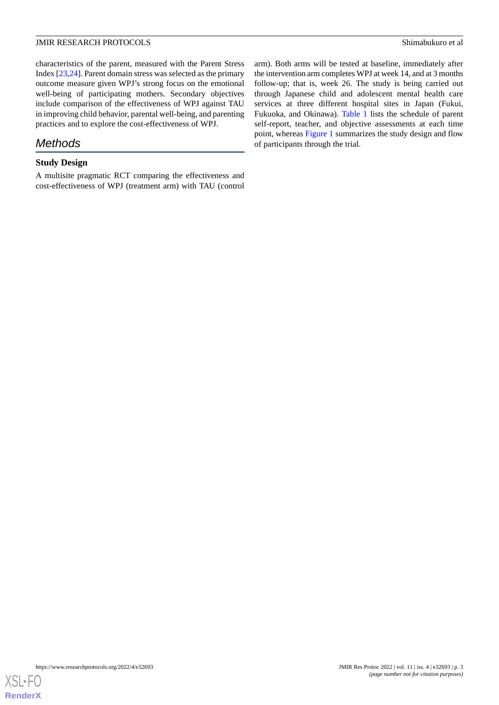characteristics of the parent, measured with the Parent Stress Index [\[23](#page-11-5),[24\]](#page-11-6). Parent domain stress was selected as the primary outcome measure given WPJ's strong focus on the emotional well-being of participating mothers. Secondary objectives include comparison of the effectiveness of WPJ against TAU in improving child behavior, parental well-being, and parenting practices and to explore the cost-effectiveness of WPJ.

# *Methods*

# **Study Design**

A multisite pragmatic RCT comparing the effectiveness and cost-effectiveness of WPJ (treatment arm) with TAU (control arm). Both arms will be tested at baseline, immediately after the intervention arm completes WPJ at week 14, and at 3 months follow-up; that is, week 26. The study is being carried out through Japanese child and adolescent mental health care services at three different hospital sites in Japan (Fukui, Fukuoka, and Okinawa). [Table 1](#page-3-0) lists the schedule of parent self-report, teacher, and objective assessments at each time point, whereas [Figure 1](#page-4-0) summarizes the study design and flow of participants through the trial.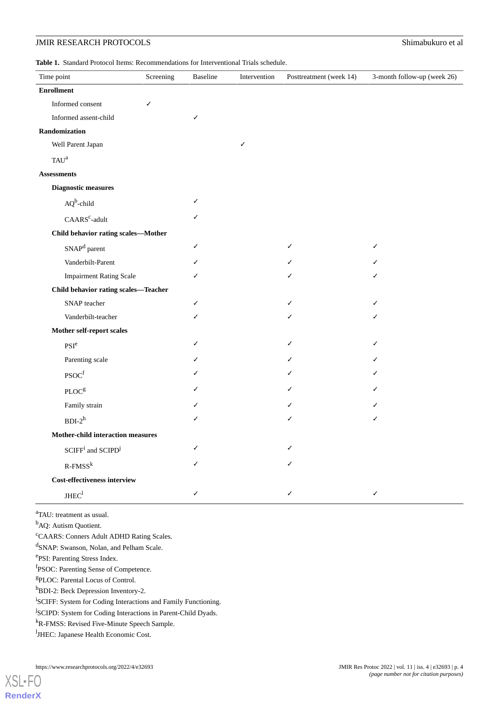<span id="page-3-0"></span>**Table 1.** Standard Protocol Items: Recommendations for Interventional Trials schedule.

| Time point                                              | Screening | Baseline |              |                         | 3-month follow-up (week 26) |
|---------------------------------------------------------|-----------|----------|--------------|-------------------------|-----------------------------|
|                                                         |           |          | Intervention | Posttreatment (week 14) |                             |
| <b>Enrollment</b>                                       |           |          |              |                         |                             |
| Informed consent                                        | ✓         |          |              |                         |                             |
| Informed assent-child                                   |           | ✓        |              |                         |                             |
| Randomization                                           |           |          |              |                         |                             |
| Well Parent Japan                                       |           |          | ✓            |                         |                             |
| TAU <sup>a</sup>                                        |           |          |              |                         |                             |
| <b>Assessments</b>                                      |           |          |              |                         |                             |
| <b>Diagnostic measures</b>                              |           |          |              |                         |                             |
| $AQb$ -child                                            |           | ✓        |              |                         |                             |
| CAARS <sup>c</sup> -adult                               |           |          |              |                         |                             |
| Child behavior rating scales-Mother                     |           |          |              |                         |                             |
| SNAP <sup>d</sup> parent                                |           | ./       |              |                         | ✓                           |
| Vanderbilt-Parent                                       |           |          |              |                         |                             |
| <b>Impairment Rating Scale</b>                          |           |          |              |                         |                             |
| Child behavior rating scales-Teacher                    |           |          |              |                         |                             |
| SNAP teacher                                            |           |          |              |                         | ✓                           |
| Vanderbilt-teacher                                      |           |          |              |                         |                             |
| Mother self-report scales                               |           |          |              |                         |                             |
| $\mathrm{PSI}^{\mathrm{e}}$                             |           |          |              |                         |                             |
| Parenting scale                                         |           |          |              |                         |                             |
| $\mathbf{PSOC}^{\mathrm{f}}$                            |           |          |              |                         |                             |
| $\text{PLOC}^{\text{g}}$                                |           |          |              |                         |                             |
| Family strain                                           |           |          |              |                         |                             |
| $BDI-2^h$                                               |           |          |              |                         | ✓                           |
| <b>Mother-child interaction measures</b>                |           |          |              |                         |                             |
| $\text{SCIFF}^{\text{i}}$ and $\text{SCIPD}^{\text{j}}$ |           |          |              |                         |                             |
| $R$ -FMSS $^k$                                          |           |          |              |                         |                             |
| Cost-effectiveness interview                            |           |          |              |                         |                             |
| JHEC <sup>1</sup>                                       |           | ✓        |              |                         | ✓                           |

<sup>a</sup>TAU: treatment as usual.

<sup>b</sup>AQ: Autism Quotient.

<sup>c</sup>CAARS: Conners Adult ADHD Rating Scales.

d SNAP: Swanson, Nolan, and Pelham Scale.

e PSI: Parenting Stress Index.

f PSOC: Parenting Sense of Competence.

g PLOC: Parental Locus of Control.

h<sub>BDI-2</sub>: Beck Depression Inventory-2.

<sup>i</sup>SCIFF: System for Coding Interactions and Family Functioning.

<sup>j</sup>SCIPD: System for Coding Interactions in Parent-Child Dyads.

<sup>k</sup>R-FMSS: Revised Five-Minute Speech Sample.

<sup>1</sup>JHEC: Japanese Health Economic Cost.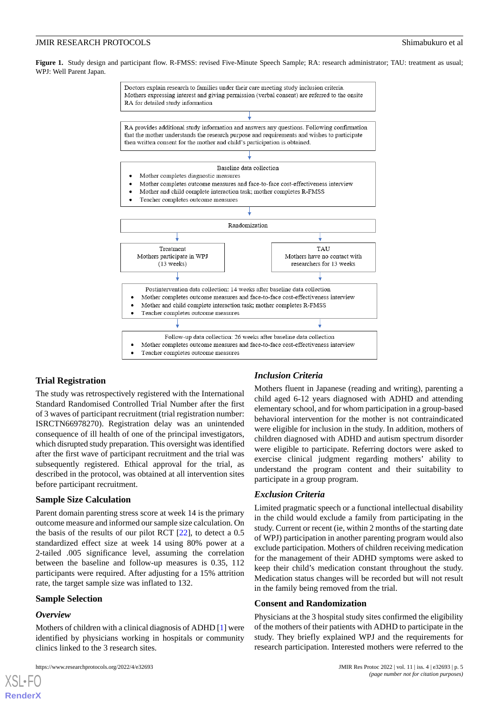<span id="page-4-0"></span>Figure 1. Study design and participant flow. R-FMSS: revised Five-Minute Speech Sample; RA: research administrator; TAU: treatment as usual; WPJ: Well Parent Japan.



#### **Trial Registration**

The study was retrospectively registered with the International Standard Randomised Controlled Trial Number after the first of 3 waves of participant recruitment (trial registration number: ISRCTN66978270). Registration delay was an unintended consequence of ill health of one of the principal investigators, which disrupted study preparation. This oversight was identified after the first wave of participant recruitment and the trial was subsequently registered. Ethical approval for the trial, as described in the protocol, was obtained at all intervention sites before participant recruitment.

#### **Sample Size Calculation**

Parent domain parenting stress score at week 14 is the primary outcome measure and informed our sample size calculation. On the basis of the results of our pilot RCT [[22\]](#page-11-4), to detect a 0.5 standardized effect size at week 14 using 80% power at a 2-tailed .005 significance level, assuming the correlation between the baseline and follow-up measures is 0.35, 112 participants were required. After adjusting for a 15% attrition rate, the target sample size was inflated to 132.

#### **Sample Selection**

#### *Overview*

Mothers of children with a clinical diagnosis of ADHD [\[1](#page-10-0)] were identified by physicians working in hospitals or community clinics linked to the 3 research sites.

#### *Inclusion Criteria*

Mothers fluent in Japanese (reading and writing), parenting a child aged 6-12 years diagnosed with ADHD and attending elementary school, and for whom participation in a group-based behavioral intervention for the mother is not contraindicated were eligible for inclusion in the study. In addition, mothers of children diagnosed with ADHD and autism spectrum disorder were eligible to participate. Referring doctors were asked to exercise clinical judgment regarding mothers' ability to understand the program content and their suitability to participate in a group program.

#### *Exclusion Criteria*

Limited pragmatic speech or a functional intellectual disability in the child would exclude a family from participating in the study. Current or recent (ie, within 2 months of the starting date of WPJ) participation in another parenting program would also exclude participation. Mothers of children receiving medication for the management of their ADHD symptoms were asked to keep their child's medication constant throughout the study. Medication status changes will be recorded but will not result in the family being removed from the trial.

#### **Consent and Randomization**

Physicians at the 3 hospital study sites confirmed the eligibility of the mothers of their patients with ADHD to participate in the study. They briefly explained WPJ and the requirements for research participation. Interested mothers were referred to the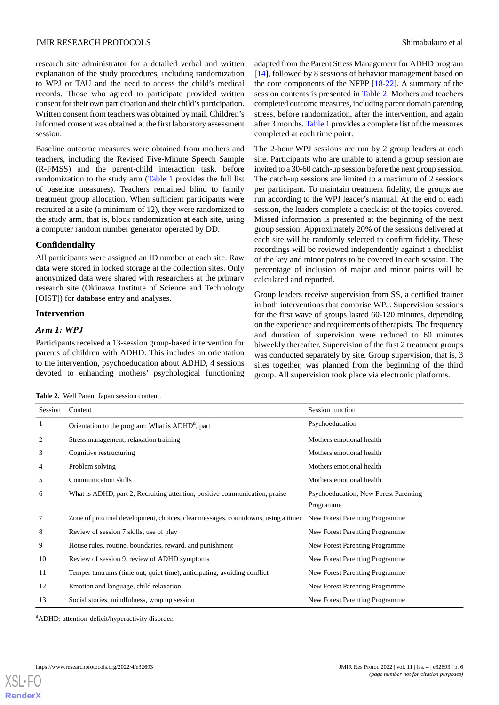research site administrator for a detailed verbal and written explanation of the study procedures, including randomization to WPJ or TAU and the need to access the child's medical records. Those who agreed to participate provided written consent for their own participation and their child's participation. Written consent from teachers was obtained by mail. Children's informed consent was obtained at the first laboratory assessment session.

Baseline outcome measures were obtained from mothers and teachers, including the Revised Five-Minute Speech Sample (R-FMSS) and the parent-child interaction task, before randomization to the study arm [\(Table 1](#page-3-0) provides the full list of baseline measures). Teachers remained blind to family treatment group allocation. When sufficient participants were recruited at a site (a minimum of 12), they were randomized to the study arm, that is, block randomization at each site, using a computer random number generator operated by DD.

#### **Confidentiality**

All participants were assigned an ID number at each site. Raw data were stored in locked storage at the collection sites. Only anonymized data were shared with researchers at the primary research site (Okinawa Institute of Science and Technology [OIST]) for database entry and analyses.

#### **Intervention**

#### *Arm 1: WPJ*

<span id="page-5-0"></span>Participants received a 13-session group-based intervention for parents of children with ADHD. This includes an orientation to the intervention, psychoeducation about ADHD, 4 sessions devoted to enhancing mothers' psychological functioning

**Table 2.** Well Parent Japan session content.

adapted from the Parent Stress Management for ADHD program [[14\]](#page-10-12), followed by 8 sessions of behavior management based on the core components of the NFPP [[18-](#page-11-2)[22](#page-11-4)]. A summary of the session contents is presented in [Table 2.](#page-5-0) Mothers and teachers completed outcome measures, including parent domain parenting stress, before randomization, after the intervention, and again after 3 months. [Table 1](#page-3-0) provides a complete list of the measures completed at each time point.

The 2-hour WPJ sessions are run by 2 group leaders at each site. Participants who are unable to attend a group session are invited to a 30-60 catch-up session before the next group session. The catch-up sessions are limited to a maximum of 2 sessions per participant. To maintain treatment fidelity, the groups are run according to the WPJ leader's manual. At the end of each session, the leaders complete a checklist of the topics covered. Missed information is presented at the beginning of the next group session. Approximately 20% of the sessions delivered at each site will be randomly selected to confirm fidelity. These recordings will be reviewed independently against a checklist of the key and minor points to be covered in each session. The percentage of inclusion of major and minor points will be calculated and reported.

Group leaders receive supervision from SS, a certified trainer in both interventions that comprise WPJ. Supervision sessions for the first wave of groups lasted 60-120 minutes, depending on the experience and requirements of therapists. The frequency and duration of supervision were reduced to 60 minutes biweekly thereafter. Supervision of the first 2 treatment groups was conducted separately by site. Group supervision, that is, 3 sites together, was planned from the beginning of the third group. All supervision took place via electronic platforms.

| Session | Content                                                                          | Session function                      |
|---------|----------------------------------------------------------------------------------|---------------------------------------|
| 1       | Orientation to the program: What is $ADHDa$ , part 1                             | Psychoeducation                       |
| 2       | Stress management, relaxation training                                           | Mothers emotional health              |
| 3       | Cognitive restructuring                                                          | Mothers emotional health              |
| 4       | Problem solving                                                                  | Mothers emotional health              |
| 5       | Communication skills                                                             | Mothers emotional health              |
| 6       | What is ADHD, part 2; Recruiting attention, positive communication, praise       | Psychoeducation; New Forest Parenting |
|         |                                                                                  | Programme                             |
| 7       | Zone of proximal development, choices, clear messages, countdowns, using a timer | New Forest Parenting Programme        |
| 8       | Review of session 7 skills, use of play                                          | New Forest Parenting Programme        |
| 9       | House rules, routine, boundaries, reward, and punishment                         | New Forest Parenting Programme        |
| 10      | Review of session 9, review of ADHD symptoms                                     | New Forest Parenting Programme        |
| 11      | Temper tantrums (time out, quiet time), anticipating, avoiding conflict          | New Forest Parenting Programme        |
| 12      | Emotion and language, child relaxation                                           | New Forest Parenting Programme        |
| 13      | Social stories, mindfulness, wrap up session                                     | New Forest Parenting Programme        |

<sup>a</sup>ADHD: attention-deficit/hyperactivity disorder.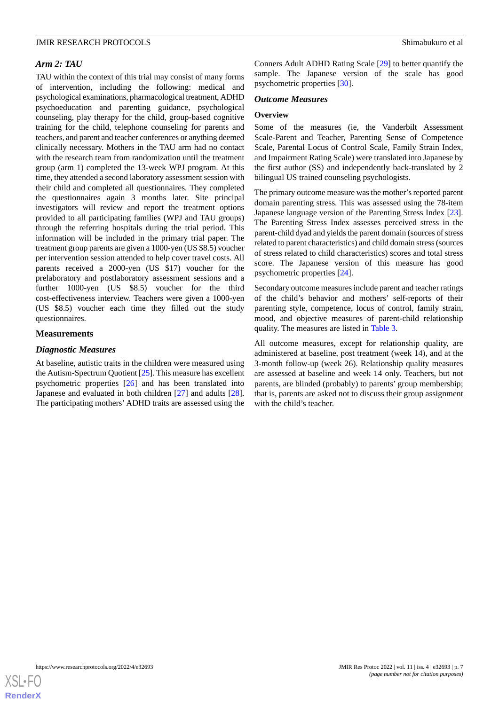#### *Arm 2: TAU*

TAU within the context of this trial may consist of many forms of intervention, including the following: medical and psychological examinations, pharmacological treatment, ADHD psychoeducation and parenting guidance, psychological counseling, play therapy for the child, group-based cognitive training for the child, telephone counseling for parents and teachers, and parent and teacher conferences or anything deemed clinically necessary. Mothers in the TAU arm had no contact with the research team from randomization until the treatment group (arm 1) completed the 13-week WPJ program. At this time, they attended a second laboratory assessment session with their child and completed all questionnaires. They completed the questionnaires again 3 months later. Site principal investigators will review and report the treatment options provided to all participating families (WPJ and TAU groups) through the referring hospitals during the trial period. This information will be included in the primary trial paper. The treatment group parents are given a 1000-yen (US \$8.5) voucher per intervention session attended to help cover travel costs. All parents received a 2000-yen (US \$17) voucher for the prelaboratory and postlaboratory assessment sessions and a further 1000-yen (US \$8.5) voucher for the third cost-effectiveness interview. Teachers were given a 1000-yen (US \$8.5) voucher each time they filled out the study questionnaires.

#### **Measurements**

#### *Diagnostic Measures*

At baseline, autistic traits in the children were measured using the Autism-Spectrum Quotient [[25\]](#page-11-7). This measure has excellent psychometric properties [\[26](#page-11-8)] and has been translated into Japanese and evaluated in both children [\[27](#page-11-9)] and adults [[28\]](#page-11-10). The participating mothers' ADHD traits are assessed using the Conners Adult ADHD Rating Scale [\[29](#page-11-11)] to better quantify the sample. The Japanese version of the scale has good psychometric properties [[30\]](#page-11-12).

#### *Outcome Measures*

#### **Overview**

Some of the measures (ie, the Vanderbilt Assessment Scale-Parent and Teacher, Parenting Sense of Competence Scale, Parental Locus of Control Scale, Family Strain Index, and Impairment Rating Scale) were translated into Japanese by the first author (SS) and independently back-translated by 2 bilingual US trained counseling psychologists.

The primary outcome measure was the mother's reported parent domain parenting stress. This was assessed using the 78-item Japanese language version of the Parenting Stress Index [[23\]](#page-11-5). The Parenting Stress Index assesses perceived stress in the parent-child dyad and yields the parent domain (sources of stress related to parent characteristics) and child domain stress (sources of stress related to child characteristics) scores and total stress score. The Japanese version of this measure has good psychometric properties [[24\]](#page-11-6).

Secondary outcome measures include parent and teacher ratings of the child's behavior and mothers' self-reports of their parenting style, competence, locus of control, family strain, mood, and objective measures of parent-child relationship quality. The measures are listed in [Table 3](#page-7-0).

All outcome measures, except for relationship quality, are administered at baseline, post treatment (week 14), and at the 3-month follow-up (week 26). Relationship quality measures are assessed at baseline and week 14 only. Teachers, but not parents, are blinded (probably) to parents' group membership; that is, parents are asked not to discuss their group assignment with the child's teacher.

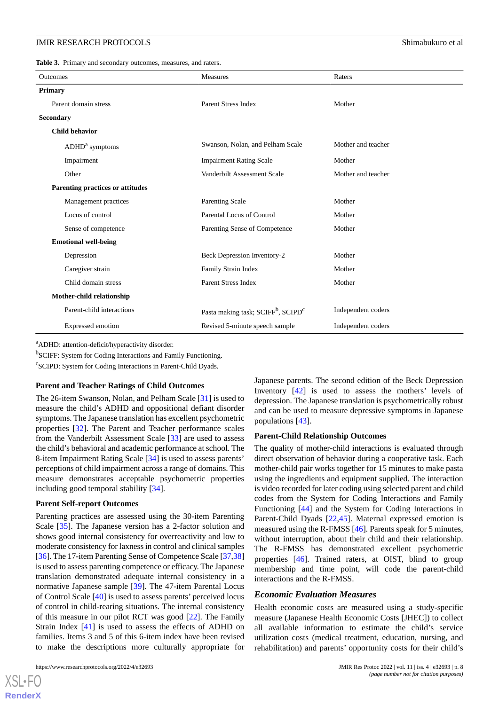<span id="page-7-0"></span>**Table 3.** Primary and secondary outcomes, measures, and raters.

| <b>Outcomes</b>                  | <b>Measures</b>                                            | Raters             |
|----------------------------------|------------------------------------------------------------|--------------------|
| <b>Primary</b>                   |                                                            |                    |
| Parent domain stress             | <b>Parent Stress Index</b>                                 | Mother             |
| <b>Secondary</b>                 |                                                            |                    |
| <b>Child behavior</b>            |                                                            |                    |
| $ADHDa$ symptoms                 | Swanson, Nolan, and Pelham Scale                           | Mother and teacher |
| Impairment                       | <b>Impairment Rating Scale</b>                             | Mother             |
| Other                            | Vanderbilt Assessment Scale                                | Mother and teacher |
| Parenting practices or attitudes |                                                            |                    |
| Management practices             | Parenting Scale                                            | Mother             |
| Locus of control                 | Parental Locus of Control                                  | Mother             |
| Sense of competence              | Parenting Sense of Competence                              | Mother             |
| <b>Emotional well-being</b>      |                                                            |                    |
| Depression                       | Beck Depression Inventory-2                                | Mother             |
| Caregiver strain                 | Family Strain Index                                        | Mother             |
| Child domain stress              | <b>Parent Stress Index</b>                                 | Mother             |
| Mother-child relationship        |                                                            |                    |
| Parent-child interactions        | Pasta making task; SCIFF <sup>b</sup> , SCIPD <sup>c</sup> | Independent coders |
| Expressed emotion                | Revised 5-minute speech sample                             | Independent coders |

<sup>a</sup>ADHD: attention-deficit/hyperactivity disorder.

<sup>b</sup>SCIFF: System for Coding Interactions and Family Functioning.

c SCIPD: System for Coding Interactions in Parent-Child Dyads.

#### **Parent and Teacher Ratings of Child Outcomes**

The 26-item Swanson, Nolan, and Pelham Scale [\[31](#page-11-13)] is used to measure the child's ADHD and oppositional defiant disorder symptoms. The Japanese translation has excellent psychometric properties [[32\]](#page-11-14). The Parent and Teacher performance scales from the Vanderbilt Assessment Scale [\[33](#page-11-15)] are used to assess the child's behavioral and academic performance at school. The 8-item Impairment Rating Scale [[34\]](#page-11-16) is used to assess parents' perceptions of child impairment across a range of domains. This measure demonstrates acceptable psychometric properties including good temporal stability [\[34](#page-11-16)].

#### **Parent Self-report Outcomes**

Parenting practices are assessed using the 30-item Parenting Scale [\[35](#page-11-17)]. The Japanese version has a 2-factor solution and shows good internal consistency for overreactivity and low to moderate consistency for laxness in control and clinical samples [[36\]](#page-11-18). The 17-item Parenting Sense of Competence Scale [\[37](#page-11-19)[,38](#page-11-20)] is used to assess parenting competence or efficacy. The Japanese translation demonstrated adequate internal consistency in a normative Japanese sample [\[39](#page-11-21)]. The 47-item Parental Locus of Control Scale [[40\]](#page-12-0) is used to assess parents' perceived locus of control in child-rearing situations. The internal consistency of this measure in our pilot RCT was good [[22\]](#page-11-4). The Family Strain Index [\[41](#page-12-1)] is used to assess the effects of ADHD on families. Items 3 and 5 of this 6-item index have been revised to make the descriptions more culturally appropriate for Japanese parents. The second edition of the Beck Depression Inventory [[42\]](#page-12-2) is used to assess the mothers' levels of depression. The Japanese translation is psychometrically robust and can be used to measure depressive symptoms in Japanese populations [\[43](#page-12-3)].

#### **Parent-Child Relationship Outcomes**

The quality of mother-child interactions is evaluated through direct observation of behavior during a cooperative task. Each mother-child pair works together for 15 minutes to make pasta using the ingredients and equipment supplied. The interaction is video recorded for later coding using selected parent and child codes from the System for Coding Interactions and Family Functioning [\[44](#page-12-4)] and the System for Coding Interactions in Parent-Child Dyads [\[22](#page-11-4),[45\]](#page-12-5). Maternal expressed emotion is measured using the R-FMSS [\[46](#page-12-6)]. Parents speak for 5 minutes, without interruption, about their child and their relationship. The R-FMSS has demonstrated excellent psychometric properties [\[46](#page-12-6)]. Trained raters, at OIST, blind to group membership and time point, will code the parent-child interactions and the R-FMSS.

#### *Economic Evaluation Measures*

Health economic costs are measured using a study-specific measure (Japanese Health Economic Costs [JHEC]) to collect all available information to estimate the child's service utilization costs (medical treatment, education, nursing, and rehabilitation) and parents' opportunity costs for their child's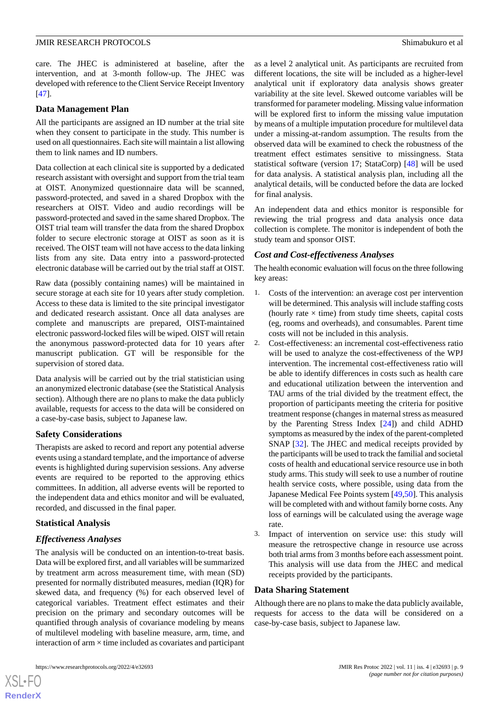care. The JHEC is administered at baseline, after the intervention, and at 3-month follow-up. The JHEC was developed with reference to the Client Service Receipt Inventory [[47\]](#page-12-7).

#### **Data Management Plan**

All the participants are assigned an ID number at the trial site when they consent to participate in the study. This number is used on all questionnaires. Each site will maintain a list allowing them to link names and ID numbers.

Data collection at each clinical site is supported by a dedicated research assistant with oversight and support from the trial team at OIST. Anonymized questionnaire data will be scanned, password-protected, and saved in a shared Dropbox with the researchers at OIST. Video and audio recordings will be password-protected and saved in the same shared Dropbox. The OIST trial team will transfer the data from the shared Dropbox folder to secure electronic storage at OIST as soon as it is received. The OIST team will not have access to the data linking lists from any site. Data entry into a password-protected electronic database will be carried out by the trial staff at OIST.

Raw data (possibly containing names) will be maintained in secure storage at each site for 10 years after study completion. Access to these data is limited to the site principal investigator and dedicated research assistant. Once all data analyses are complete and manuscripts are prepared, OIST-maintained electronic password-locked files will be wiped. OIST will retain the anonymous password-protected data for 10 years after manuscript publication. GT will be responsible for the supervision of stored data.

Data analysis will be carried out by the trial statistician using an anonymized electronic database (see the Statistical Analysis section). Although there are no plans to make the data publicly available, requests for access to the data will be considered on a case-by-case basis, subject to Japanese law.

# **Safety Considerations**

Therapists are asked to record and report any potential adverse events using a standard template, and the importance of adverse events is highlighted during supervision sessions. Any adverse events are required to be reported to the approving ethics committees. In addition, all adverse events will be reported to the independent data and ethics monitor and will be evaluated, recorded, and discussed in the final paper.

# **Statistical Analysis**

# *Effectiveness Analyses*

The analysis will be conducted on an intention-to-treat basis. Data will be explored first, and all variables will be summarized by treatment arm across measurement time, with mean (SD) presented for normally distributed measures, median (IQR) for skewed data, and frequency (%) for each observed level of categorical variables. Treatment effect estimates and their precision on the primary and secondary outcomes will be quantified through analysis of covariance modeling by means of multilevel modeling with baseline measure, arm, time, and interaction of arm  $\times$  time included as covariates and participant

as a level 2 analytical unit. As participants are recruited from different locations, the site will be included as a higher-level analytical unit if exploratory data analysis shows greater variability at the site level. Skewed outcome variables will be transformed for parameter modeling. Missing value information will be explored first to inform the missing value imputation by means of a multiple imputation procedure for multilevel data under a missing-at-random assumption. The results from the observed data will be examined to check the robustness of the treatment effect estimates sensitive to missingness. Stata statistical software (version 17; StataCorp) [[48\]](#page-12-8) will be used for data analysis. A statistical analysis plan, including all the analytical details, will be conducted before the data are locked for final analysis.

An independent data and ethics monitor is responsible for reviewing the trial progress and data analysis once data collection is complete. The monitor is independent of both the study team and sponsor OIST.

### *Cost and Cost-effectiveness Analyses*

The health economic evaluation will focus on the three following key areas:

- 1. Costs of the intervention: an average cost per intervention will be determined. This analysis will include staffing costs (hourly rate  $\times$  time) from study time sheets, capital costs (eg, rooms and overheads), and consumables. Parent time costs will not be included in this analysis.
- 2. Cost-effectiveness: an incremental cost-effectiveness ratio will be used to analyze the cost-effectiveness of the WPJ intervention. The incremental cost-effectiveness ratio will be able to identify differences in costs such as health care and educational utilization between the intervention and TAU arms of the trial divided by the treatment effect, the proportion of participants meeting the criteria for positive treatment response (changes in maternal stress as measured by the Parenting Stress Index [\[24](#page-11-6)]) and child ADHD symptoms as measured by the index of the parent-completed SNAP [\[32](#page-11-14)]. The JHEC and medical receipts provided by the participants will be used to track the familial and societal costs of health and educational service resource use in both study arms. This study will seek to use a number of routine health service costs, where possible, using data from the Japanese Medical Fee Points system [\[49](#page-12-9),[50\]](#page-12-10). This analysis will be completed with and without family borne costs. Any loss of earnings will be calculated using the average wage rate.
- 3. Impact of intervention on service use: this study will measure the retrospective change in resource use across both trial arms from 3 months before each assessment point. This analysis will use data from the JHEC and medical receipts provided by the participants.

#### **Data Sharing Statement**

Although there are no plans to make the data publicly available, requests for access to the data will be considered on a case-by-case basis, subject to Japanese law.

 $XS$  $\cdot$ FC **[RenderX](http://www.renderx.com/)**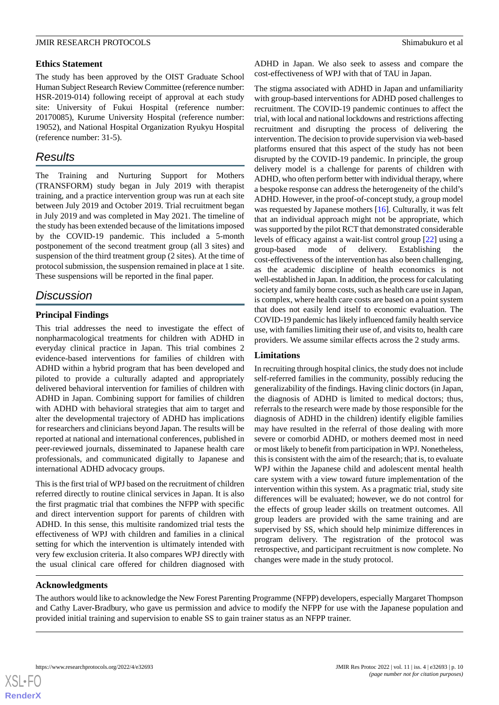#### **Ethics Statement**

The study has been approved by the OIST Graduate School Human Subject Research Review Committee (reference number: HSR-2019-014) following receipt of approval at each study site: University of Fukui Hospital (reference number: 20170085), Kurume University Hospital (reference number: 19052), and National Hospital Organization Ryukyu Hospital (reference number: 31-5).

# *Results*

The Training and Nurturing Support for Mothers (TRANSFORM) study began in July 2019 with therapist training, and a practice intervention group was run at each site between July 2019 and October 2019. Trial recruitment began in July 2019 and was completed in May 2021. The timeline of the study has been extended because of the limitations imposed by the COVID-19 pandemic. This included a 5-month postponement of the second treatment group (all 3 sites) and suspension of the third treatment group (2 sites). At the time of protocol submission, the suspension remained in place at 1 site. These suspensions will be reported in the final paper.

# *Discussion*

# **Principal Findings**

This trial addresses the need to investigate the effect of nonpharmacological treatments for children with ADHD in everyday clinical practice in Japan. This trial combines 2 evidence-based interventions for families of children with ADHD within a hybrid program that has been developed and piloted to provide a culturally adapted and appropriately delivered behavioral intervention for families of children with ADHD in Japan. Combining support for families of children with ADHD with behavioral strategies that aim to target and alter the developmental trajectory of ADHD has implications for researchers and clinicians beyond Japan. The results will be reported at national and international conferences, published in peer-reviewed journals, disseminated to Japanese health care professionals, and communicated digitally to Japanese and international ADHD advocacy groups.

This is the first trial of WPJ based on the recruitment of children referred directly to routine clinical services in Japan. It is also the first pragmatic trial that combines the NFPP with specific and direct intervention support for parents of children with ADHD. In this sense, this multisite randomized trial tests the effectiveness of WPJ with children and families in a clinical setting for which the intervention is ultimately intended with very few exclusion criteria. It also compares WPJ directly with the usual clinical care offered for children diagnosed with

ADHD in Japan. We also seek to assess and compare the cost-effectiveness of WPJ with that of TAU in Japan.

The stigma associated with ADHD in Japan and unfamiliarity with group-based interventions for ADHD posed challenges to recruitment. The COVID-19 pandemic continues to affect the trial, with local and national lockdowns and restrictions affecting recruitment and disrupting the process of delivering the intervention. The decision to provide supervision via web-based platforms ensured that this aspect of the study has not been disrupted by the COVID-19 pandemic. In principle, the group delivery model is a challenge for parents of children with ADHD, who often perform better with individual therapy, where a bespoke response can address the heterogeneity of the child's ADHD. However, in the proof-of-concept study, a group model was requested by Japanese mothers [\[16](#page-11-0)]. Culturally, it was felt that an individual approach might not be appropriate, which was supported by the pilot RCT that demonstrated considerable levels of efficacy against a wait-list control group [\[22](#page-11-4)] using a group-based mode of delivery. Establishing the cost-effectiveness of the intervention has also been challenging, as the academic discipline of health economics is not well-established in Japan. In addition, the process for calculating society and family borne costs, such as health care use in Japan, is complex, where health care costs are based on a point system that does not easily lend itself to economic evaluation. The COVID-19 pandemic has likely influenced family health service use, with families limiting their use of, and visits to, health care providers. We assume similar effects across the 2 study arms.

# **Limitations**

In recruiting through hospital clinics, the study does not include self-referred families in the community, possibly reducing the generalizability of the findings. Having clinic doctors (in Japan, the diagnosis of ADHD is limited to medical doctors; thus, referrals to the research were made by those responsible for the diagnosis of ADHD in the children) identify eligible families may have resulted in the referral of those dealing with more severe or comorbid ADHD, or mothers deemed most in need or most likely to benefit from participation in WPJ. Nonetheless, this is consistent with the aim of the research; that is, to evaluate WPJ within the Japanese child and adolescent mental health care system with a view toward future implementation of the intervention within this system. As a pragmatic trial, study site differences will be evaluated; however, we do not control for the effects of group leader skills on treatment outcomes. All group leaders are provided with the same training and are supervised by SS, which should help minimize differences in program delivery. The registration of the protocol was retrospective, and participant recruitment is now complete. No changes were made in the study protocol.

# **Acknowledgments**

The authors would like to acknowledge the New Forest Parenting Programme (NFPP) developers, especially Margaret Thompson and Cathy Laver-Bradbury, who gave us permission and advice to modify the NFPP for use with the Japanese population and provided initial training and supervision to enable SS to gain trainer status as an NFPP trainer.

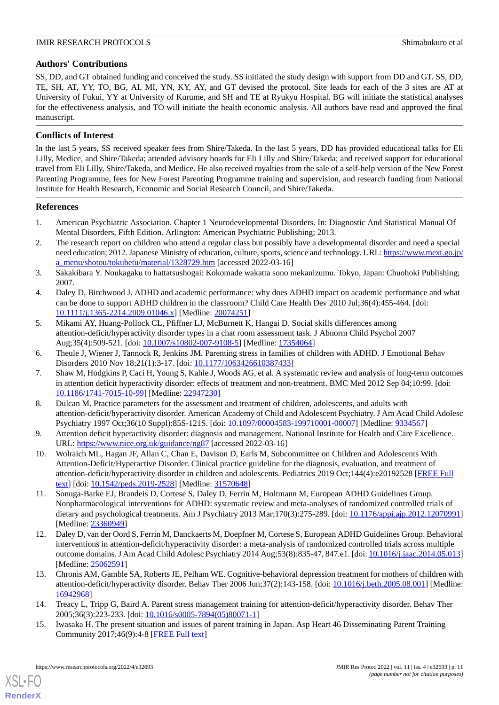# **Authors' Contributions**

SS, DD, and GT obtained funding and conceived the study. SS initiated the study design with support from DD and GT. SS, DD, TE, SH, AT, YY, TO, BG, AI, MI, YN, KY, AY, and GT devised the protocol. Site leads for each of the 3 sites are AT at University of Fukui, YY at University of Kurume, and SH and TE at Ryukyu Hospital. BG will initiate the statistical analyses for the effectiveness analysis, and TO will initiate the health economic analysis. All authors have read and approved the final manuscript.

## **Conflicts of Interest**

In the last 5 years, SS received speaker fees from Shire/Takeda. In the last 5 years, DD has provided educational talks for Eli Lilly, Medice, and Shire/Takeda; attended advisory boards for Eli Lilly and Shire/Takeda; and received support for educational travel from Eli Lilly, Shire/Takeda, and Medice. He also received royalties from the sale of a self-help version of the New Forest Parenting Programme, fees for New Forest Parenting Programme training and supervision, and research funding from National Institute for Health Research, Economic and Social Research Council, and Shire/Takeda.

#### <span id="page-10-0"></span>**References**

- <span id="page-10-1"></span>1. American Psychiatric Association. Chapter 1 Neurodevelopmental Disorders. In: Diagnostic And Statistical Manual Of Mental Disorders, Fifth Edition. Arlington: American Psychiatric Publishing; 2013.
- <span id="page-10-2"></span>2. The research report on children who attend a regular class but possibly have a developmental disorder and need a special need education; 2012. Japanese Ministry of education, culture, sports, science and technology. URL: [https://www.mext.go.jp/](https://www.mext.go.jp/a_menu/shotou/tokubetu/material/1328729.htm) [a\\_menu/shotou/tokubetu/material/1328729.htm](https://www.mext.go.jp/a_menu/shotou/tokubetu/material/1328729.htm) [accessed 2022-03-16]
- <span id="page-10-3"></span>3. Sakakibara Y. Noukagaku to hattatsushogai: Kokomade wakatta sono mekanizumu. Tokyo, Japan: Chuohoki Publishing; 2007.
- <span id="page-10-4"></span>4. Daley D, Birchwood J. ADHD and academic performance: why does ADHD impact on academic performance and what can be done to support ADHD children in the classroom? Child Care Health Dev 2010 Jul;36(4):455-464. [doi: [10.1111/j.1365-2214.2009.01046.x\]](http://dx.doi.org/10.1111/j.1365-2214.2009.01046.x) [Medline: [20074251\]](http://www.ncbi.nlm.nih.gov/entrez/query.fcgi?cmd=Retrieve&db=PubMed&list_uids=20074251&dopt=Abstract)
- <span id="page-10-6"></span><span id="page-10-5"></span>5. Mikami AY, Huang-Pollock CL, Pfiffner LJ, McBurnett K, Hangai D. Social skills differences among attention-deficit/hyperactivity disorder types in a chat room assessment task. J Abnorm Child Psychol 2007 Aug;35(4):509-521. [doi: [10.1007/s10802-007-9108-5\]](http://dx.doi.org/10.1007/s10802-007-9108-5) [Medline: [17354064\]](http://www.ncbi.nlm.nih.gov/entrez/query.fcgi?cmd=Retrieve&db=PubMed&list_uids=17354064&dopt=Abstract)
- 6. Theule J, Wiener J, Tannock R, Jenkins JM. Parenting stress in families of children with ADHD. J Emotional Behav Disorders 2010 Nov 18;21(1):3-17. [doi: [10.1177/1063426610387433](http://dx.doi.org/10.1177/1063426610387433)]
- <span id="page-10-7"></span>7. Shaw M, Hodgkins P, Caci H, Young S, Kahle J, Woods AG, et al. A systematic review and analysis of long-term outcomes in attention deficit hyperactivity disorder: effects of treatment and non-treatment. BMC Med 2012 Sep 04;10:99. [doi: [10.1186/1741-7015-10-99\]](http://dx.doi.org/10.1186/1741-7015-10-99) [Medline: [22947230\]](http://www.ncbi.nlm.nih.gov/entrez/query.fcgi?cmd=Retrieve&db=PubMed&list_uids=22947230&dopt=Abstract)
- <span id="page-10-8"></span>8. Dulcan M. Practice parameters for the assessment and treatment of children, adolescents, and adults with attention-deficit/hyperactivity disorder. American Academy of Child and Adolescent Psychiatry. J Am Acad Child Adolesc Psychiatry 1997 Oct;36(10 Suppl):85S-121S. [doi: [10.1097/00004583-199710001-00007](http://dx.doi.org/10.1097/00004583-199710001-00007)] [Medline: [9334567\]](http://www.ncbi.nlm.nih.gov/entrez/query.fcgi?cmd=Retrieve&db=PubMed&list_uids=9334567&dopt=Abstract)
- 9. Attention deficit hyperactivity disorder: diagnosis and management. National Institute for Health and Care Excellence. URL: <https://www.nice.org.uk/guidance/ng87> [accessed 2022-03-16]
- <span id="page-10-9"></span>10. Wolraich ML, Hagan JF, Allan C, Chan E, Davison D, Earls M, Subcommittee on Children and Adolescents With Attention-Deficit/Hyperactive Disorder. Clinical practice guideline for the diagnosis, evaluation, and treatment of attention-deficit/hyperactivity disorder in children and adolescents. Pediatrics 2019 Oct;144(4):e20192528 [\[FREE Full](http://europepmc.org/abstract/MED/31570648) [text](http://europepmc.org/abstract/MED/31570648)] [doi: [10.1542/peds.2019-2528](http://dx.doi.org/10.1542/peds.2019-2528)] [Medline: [31570648\]](http://www.ncbi.nlm.nih.gov/entrez/query.fcgi?cmd=Retrieve&db=PubMed&list_uids=31570648&dopt=Abstract)
- <span id="page-10-10"></span>11. Sonuga-Barke EJ, Brandeis D, Cortese S, Daley D, Ferrin M, Holtmann M, European ADHD Guidelines Group. Nonpharmacological interventions for ADHD: systematic review and meta-analyses of randomized controlled trials of dietary and psychological treatments. Am J Psychiatry 2013 Mar;170(3):275-289. [doi: [10.1176/appi.ajp.2012.12070991](http://dx.doi.org/10.1176/appi.ajp.2012.12070991)] [Medline: [23360949](http://www.ncbi.nlm.nih.gov/entrez/query.fcgi?cmd=Retrieve&db=PubMed&list_uids=23360949&dopt=Abstract)]
- <span id="page-10-12"></span><span id="page-10-11"></span>12. Daley D, van der Oord S, Ferrin M, Danckaerts M, Doepfner M, Cortese S, European ADHD Guidelines Group. Behavioral interventions in attention-deficit/hyperactivity disorder: a meta-analysis of randomized controlled trials across multiple outcome domains. J Am Acad Child Adolesc Psychiatry 2014 Aug;53(8):835-47, 847.e1. [doi: [10.1016/j.jaac.2014.05.013](http://dx.doi.org/10.1016/j.jaac.2014.05.013)] [Medline: [25062591](http://www.ncbi.nlm.nih.gov/entrez/query.fcgi?cmd=Retrieve&db=PubMed&list_uids=25062591&dopt=Abstract)]
- <span id="page-10-13"></span>13. Chronis AM, Gamble SA, Roberts JE, Pelham WE. Cognitive-behavioral depression treatment for mothers of children with attention-deficit/hyperactivity disorder. Behav Ther 2006 Jun;37(2):143-158. [doi: [10.1016/j.beth.2005.08.001\]](http://dx.doi.org/10.1016/j.beth.2005.08.001) [Medline: [16942968](http://www.ncbi.nlm.nih.gov/entrez/query.fcgi?cmd=Retrieve&db=PubMed&list_uids=16942968&dopt=Abstract)]
- 14. Treacy L, Tripp G, Baird A. Parent stress management training for attention-deficit/hyperactivity disorder. Behav Ther 2005;36(3):223-233. [doi: [10.1016/s0005-7894\(05\)80071-1\]](http://dx.doi.org/10.1016/s0005-7894(05)80071-1)
- 15. Iwasaka H. The present situation and issues of parent training in Japan. Asp Heart 46 Disseminating Parent Training Community 2017;46(9):4-8 [\[FREE Full text\]](http://www.as-japan.jp/j/index.html)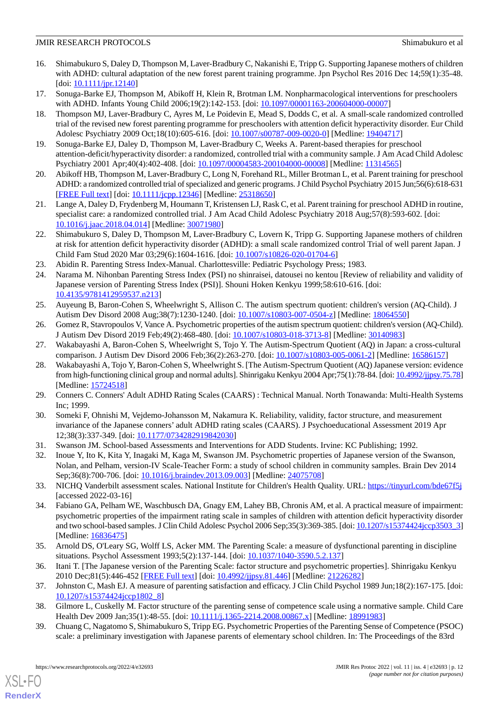- <span id="page-11-0"></span>16. Shimabukuro S, Daley D, Thompson M, Laver-Bradbury C, Nakanishi E, Tripp G. Supporting Japanese mothers of children with ADHD: cultural adaptation of the new forest parent training programme. Jpn Psychol Res 2016 Dec 14;59(1):35-48.  $[doi: 10.1111/jpr.12140]$  $[doi: 10.1111/jpr.12140]$  $[doi: 10.1111/jpr.12140]$
- <span id="page-11-2"></span><span id="page-11-1"></span>17. Sonuga-Barke EJ, Thompson M, Abikoff H, Klein R, Brotman LM. Nonpharmacological interventions for preschoolers with ADHD. Infants Young Child 2006;19(2):142-153. [doi: [10.1097/00001163-200604000-00007](http://dx.doi.org/10.1097/00001163-200604000-00007)]
- 18. Thompson MJ, Laver-Bradbury C, Ayres M, Le Poidevin E, Mead S, Dodds C, et al. A small-scale randomized controlled trial of the revised new forest parenting programme for preschoolers with attention deficit hyperactivity disorder. Eur Child Adolesc Psychiatry 2009 Oct;18(10):605-616. [doi: [10.1007/s00787-009-0020-0\]](http://dx.doi.org/10.1007/s00787-009-0020-0) [Medline: [19404717](http://www.ncbi.nlm.nih.gov/entrez/query.fcgi?cmd=Retrieve&db=PubMed&list_uids=19404717&dopt=Abstract)]
- 19. Sonuga-Barke EJ, Daley D, Thompson M, Laver-Bradbury C, Weeks A. Parent-based therapies for preschool attention-deficit/hyperactivity disorder: a randomized, controlled trial with a community sample. J Am Acad Child Adolesc Psychiatry 2001 Apr;40(4):402-408. [doi: [10.1097/00004583-200104000-00008](http://dx.doi.org/10.1097/00004583-200104000-00008)] [Medline: [11314565\]](http://www.ncbi.nlm.nih.gov/entrez/query.fcgi?cmd=Retrieve&db=PubMed&list_uids=11314565&dopt=Abstract)
- <span id="page-11-3"></span>20. Abikoff HB, Thompson M, Laver-Bradbury C, Long N, Forehand RL, Miller Brotman L, et al. Parent training for preschool ADHD: a randomized controlled trial of specialized and generic programs. J Child Psychol Psychiatry 2015 Jun;56(6):618-631 [[FREE Full text](http://europepmc.org/abstract/MED/25318650)] [doi: [10.1111/jcpp.12346\]](http://dx.doi.org/10.1111/jcpp.12346) [Medline: [25318650](http://www.ncbi.nlm.nih.gov/entrez/query.fcgi?cmd=Retrieve&db=PubMed&list_uids=25318650&dopt=Abstract)]
- <span id="page-11-4"></span>21. Lange A, Daley D, Frydenberg M, Houmann T, Kristensen LJ, Rask C, et al. Parent training for preschool ADHD in routine, specialist care: a randomized controlled trial. J Am Acad Child Adolesc Psychiatry 2018 Aug;57(8):593-602. [doi: [10.1016/j.jaac.2018.04.014\]](http://dx.doi.org/10.1016/j.jaac.2018.04.014) [Medline: [30071980\]](http://www.ncbi.nlm.nih.gov/entrez/query.fcgi?cmd=Retrieve&db=PubMed&list_uids=30071980&dopt=Abstract)
- <span id="page-11-6"></span><span id="page-11-5"></span>22. Shimabukuro S, Daley D, Thompson M, Laver-Bradbury C, Lovern K, Tripp G. Supporting Japanese mothers of children at risk for attention deficit hyperactivity disorder (ADHD): a small scale randomized control Trial of well parent Japan. J Child Fam Stud 2020 Mar 03;29(6):1604-1616. [doi: [10.1007/s10826-020-01704-6\]](http://dx.doi.org/10.1007/s10826-020-01704-6)
- 23. Abidin R. Parenting Stress Index-Manual. Charlottesville: Pediatric Psychology Press; 1983.
- <span id="page-11-7"></span>24. Narama M. Nihonban Parenting Stress Index (PSI) no shinraisei, datousei no kentou [Review of reliability and validity of Japanese version of Parenting Stress Index (PSI)]. Shouni Hoken Kenkyu 1999;58:610-616. [doi: [10.4135/9781412959537.n213](http://dx.doi.org/10.4135/9781412959537.n213)]
- <span id="page-11-9"></span><span id="page-11-8"></span>25. Auyeung B, Baron-Cohen S, Wheelwright S, Allison C. The autism spectrum quotient: children's version (AQ-Child). J Autism Dev Disord 2008 Aug;38(7):1230-1240. [doi: [10.1007/s10803-007-0504-z](http://dx.doi.org/10.1007/s10803-007-0504-z)] [Medline: [18064550](http://www.ncbi.nlm.nih.gov/entrez/query.fcgi?cmd=Retrieve&db=PubMed&list_uids=18064550&dopt=Abstract)]
- <span id="page-11-10"></span>26. Gomez R, Stavropoulos V, Vance A. Psychometric properties of the autism spectrum quotient: children's version (AQ-Child). J Autism Dev Disord 2019 Feb;49(2):468-480. [doi: [10.1007/s10803-018-3713-8](http://dx.doi.org/10.1007/s10803-018-3713-8)] [Medline: [30140983\]](http://www.ncbi.nlm.nih.gov/entrez/query.fcgi?cmd=Retrieve&db=PubMed&list_uids=30140983&dopt=Abstract)
- 27. Wakabayashi A, Baron-Cohen S, Wheelwright S, Tojo Y. The Autism-Spectrum Quotient (AQ) in Japan: a cross-cultural comparison. J Autism Dev Disord 2006 Feb;36(2):263-270. [doi: [10.1007/s10803-005-0061-2\]](http://dx.doi.org/10.1007/s10803-005-0061-2) [Medline: [16586157\]](http://www.ncbi.nlm.nih.gov/entrez/query.fcgi?cmd=Retrieve&db=PubMed&list_uids=16586157&dopt=Abstract)
- <span id="page-11-12"></span><span id="page-11-11"></span>28. Wakabayashi A, Tojo Y, Baron-Cohen S, Wheelwright S. [The Autism-Spectrum Quotient (AQ) Japanese version: evidence from high-functioning clinical group and normal adults]. Shinrigaku Kenkyu 2004 Apr;75(1):78-84. [doi: [10.4992/jjpsy.75.78\]](http://dx.doi.org/10.4992/jjpsy.75.78) [Medline: [15724518](http://www.ncbi.nlm.nih.gov/entrez/query.fcgi?cmd=Retrieve&db=PubMed&list_uids=15724518&dopt=Abstract)]
- <span id="page-11-13"></span>29. Conners C. Conners' Adult ADHD Rating Scales (CAARS) : Technical Manual. North Tonawanda: Multi-Health Systems Inc; 1999.
- <span id="page-11-14"></span>30. Someki F, Ohnishi M, Vejdemo-Johansson M, Nakamura K. Reliability, validity, factor structure, and measurement invariance of the Japanese conners' adult ADHD rating scales (CAARS). J Psychoeducational Assessment 2019 Apr 12;38(3):337-349. [doi: [10.1177/0734282919842030\]](http://dx.doi.org/10.1177/0734282919842030)
- <span id="page-11-15"></span>31. Swanson JM. School-based Assessments and Interventions for ADD Students. Irvine: KC Publishing; 1992.
- <span id="page-11-16"></span>32. Inoue Y, Ito K, Kita Y, Inagaki M, Kaga M, Swanson JM. Psychometric properties of Japanese version of the Swanson, Nolan, and Pelham, version-IV Scale-Teacher Form: a study of school children in community samples. Brain Dev 2014 Sep;36(8):700-706. [doi: [10.1016/j.braindev.2013.09.003\]](http://dx.doi.org/10.1016/j.braindev.2013.09.003) [Medline: [24075708](http://www.ncbi.nlm.nih.gov/entrez/query.fcgi?cmd=Retrieve&db=PubMed&list_uids=24075708&dopt=Abstract)]
- <span id="page-11-17"></span>33. NICHQ Vanderbilt assessment scales. National Institute for Children's Health Quality. URL:<https://tinyurl.com/bde67f5j> [accessed 2022-03-16]
- <span id="page-11-18"></span>34. Fabiano GA, Pelham WE, Waschbusch DA, Gnagy EM, Lahey BB, Chronis AM, et al. A practical measure of impairment: psychometric properties of the impairment rating scale in samples of children with attention deficit hyperactivity disorder and two school-based samples. J Clin Child Adolesc Psychol 2006 Sep;35(3):369-385. [doi: [10.1207/s15374424jccp3503\\_3\]](http://dx.doi.org/10.1207/s15374424jccp3503_3) [Medline: [16836475](http://www.ncbi.nlm.nih.gov/entrez/query.fcgi?cmd=Retrieve&db=PubMed&list_uids=16836475&dopt=Abstract)]
- <span id="page-11-20"></span><span id="page-11-19"></span>35. Arnold DS, O'Leary SG, Wolff LS, Acker MM. The Parenting Scale: a measure of dysfunctional parenting in discipline situations. Psychol Assessment 1993;5(2):137-144. [doi: [10.1037/1040-3590.5.2.137\]](http://dx.doi.org/10.1037/1040-3590.5.2.137)
- <span id="page-11-21"></span>36. Itani T. [The Japanese version of the Parenting Scale: factor structure and psychometric properties]. Shinrigaku Kenkyu 2010 Dec;81(5):446-452 [[FREE Full text\]](http://japanlinkcenter.org/JST.JSTAGE/jjpsy/81.446?lang=en&from=PubMed) [doi: [10.4992/jjpsy.81.446](http://dx.doi.org/10.4992/jjpsy.81.446)] [Medline: [21226282\]](http://www.ncbi.nlm.nih.gov/entrez/query.fcgi?cmd=Retrieve&db=PubMed&list_uids=21226282&dopt=Abstract)
- 37. Johnston C, Mash EJ. A measure of parenting satisfaction and efficacy. J Clin Child Psychol 1989 Jun;18(2):167-175. [doi: [10.1207/s15374424jccp1802\\_8](http://dx.doi.org/10.1207/s15374424jccp1802_8)]
- 38. Gilmore L, Cuskelly M. Factor structure of the parenting sense of competence scale using a normative sample. Child Care Health Dev 2009 Jan; 35(1): 48-55. [doi: [10.1111/j.1365-2214.2008.00867.x\]](http://dx.doi.org/10.1111/j.1365-2214.2008.00867.x) [Medline: [18991983](http://www.ncbi.nlm.nih.gov/entrez/query.fcgi?cmd=Retrieve&db=PubMed&list_uids=18991983&dopt=Abstract)]
- 39. Chuang C, Nagatomo S, Shimabukuro S, Tripp EG. Psychometric Properties of the Parenting Sense of Competence (PSOC) scale: a preliminary investigation with Japanese parents of elementary school children. In: The Proceedings of the 83rd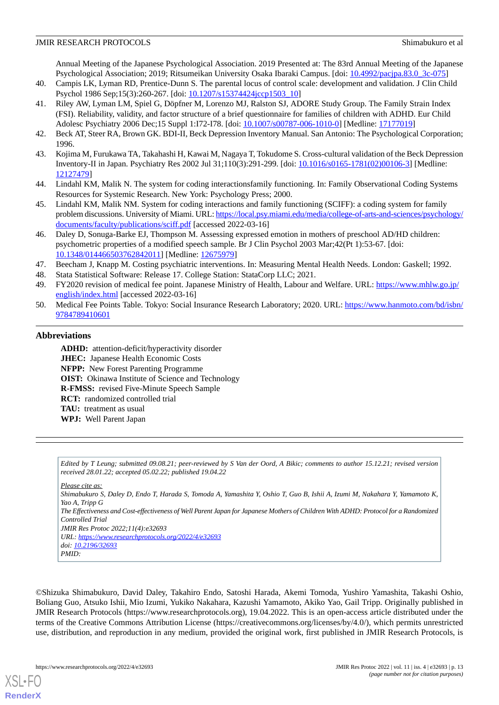Annual Meeting of the Japanese Psychological Association. 2019 Presented at: The 83rd Annual Meeting of the Japanese Psychological Association; 2019; Ritsumeikan University Osaka Ibaraki Campus. [doi: [10.4992/pacjpa.83.0\\_3c-075\]](http://dx.doi.org/10.4992/pacjpa.83.0_3c-075)

- <span id="page-12-1"></span><span id="page-12-0"></span>40. Campis LK, Lyman RD, Prentice-Dunn S. The parental locus of control scale: development and validation. J Clin Child Psychol 1986 Sep;15(3):260-267. [doi: [10.1207/s15374424jccp1503\\_10\]](http://dx.doi.org/10.1207/s15374424jccp1503_10)
- 41. Riley AW, Lyman LM, Spiel G, Döpfner M, Lorenzo MJ, Ralston SJ, ADORE Study Group. The Family Strain Index (FSI). Reliability, validity, and factor structure of a brief questionnaire for families of children with ADHD. Eur Child Adolesc Psychiatry 2006 Dec;15 Suppl 1:I72-I78. [doi: [10.1007/s00787-006-1010-0](http://dx.doi.org/10.1007/s00787-006-1010-0)] [Medline: [17177019](http://www.ncbi.nlm.nih.gov/entrez/query.fcgi?cmd=Retrieve&db=PubMed&list_uids=17177019&dopt=Abstract)]
- <span id="page-12-3"></span><span id="page-12-2"></span>42. Beck AT, Steer RA, Brown GK. BDI-II, Beck Depression Inventory Manual. San Antonio: The Psychological Corporation; 1996.
- <span id="page-12-4"></span>43. Kojima M, Furukawa TA, Takahashi H, Kawai M, Nagaya T, Tokudome S. Cross-cultural validation of the Beck Depression Inventory-II in Japan. Psychiatry Res 2002 Jul 31;110(3):291-299. [doi: [10.1016/s0165-1781\(02\)00106-3\]](http://dx.doi.org/10.1016/s0165-1781(02)00106-3) [Medline: [12127479](http://www.ncbi.nlm.nih.gov/entrez/query.fcgi?cmd=Retrieve&db=PubMed&list_uids=12127479&dopt=Abstract)]
- <span id="page-12-5"></span>44. Lindahl KM, Malik N. The system for coding interactionsfamily functioning. In: Family Observational Coding Systems Resources for Systemic Research. New York: Psychology Press; 2000.
- <span id="page-12-6"></span>45. Lindahl KM, Malik NM. System for coding interactions and family functioning (SCIFF): a coding system for family problem discussions. University of Miami. URL: [https://local.psy.miami.edu/media/college-of-arts-and-sciences/psychology/](https://local.psy.miami.edu/media/college-of-arts-and-sciences/psychology/documents/faculty/publications/sciff.pdf) [documents/faculty/publications/sciff.pdf](https://local.psy.miami.edu/media/college-of-arts-and-sciences/psychology/documents/faculty/publications/sciff.pdf) [accessed 2022-03-16]
- <span id="page-12-8"></span><span id="page-12-7"></span>46. Daley D, Sonuga-Barke EJ, Thompson M. Assessing expressed emotion in mothers of preschool AD/HD children: psychometric properties of a modified speech sample. Br J Clin Psychol 2003 Mar;42(Pt 1):53-67. [doi: [10.1348/014466503762842011\]](http://dx.doi.org/10.1348/014466503762842011) [Medline: [12675979\]](http://www.ncbi.nlm.nih.gov/entrez/query.fcgi?cmd=Retrieve&db=PubMed&list_uids=12675979&dopt=Abstract)
- <span id="page-12-9"></span>47. Beecham J, Knapp M. Costing psychiatric interventions. In: Measuring Mental Health Needs. London: Gaskell; 1992.
- <span id="page-12-10"></span>48. Stata Statistical Software: Release 17. College Station: StataCorp LLC; 2021.
- 49. FY2020 revision of medical fee point. Japanese Ministry of Health, Labour and Welfare. URL: [https://www.mhlw.go.jp/](https://www.mhlw.go.jp/english/index.html) [english/index.html](https://www.mhlw.go.jp/english/index.html) [accessed 2022-03-16]
- 50. Medical Fee Points Table. Tokyo: Social Insurance Research Laboratory; 2020. URL: [https://www.hanmoto.com/bd/isbn/](https://www.hanmoto.com/bd/isbn/9784789410601) [9784789410601](https://www.hanmoto.com/bd/isbn/9784789410601)

#### **Abbreviations**

**ADHD:** attention-deficit/hyperactivity disorder **JHEC:** Japanese Health Economic Costs **NFPP:** New Forest Parenting Programme **OIST:** Okinawa Institute of Science and Technology **R-FMSS:** revised Five-Minute Speech Sample **RCT:** randomized controlled trial **TAU:** treatment as usual **WPJ:** Well Parent Japan

*Edited by T Leung; submitted 09.08.21; peer-reviewed by S Van der Oord, A Bikic; comments to author 15.12.21; revised version received 28.01.22; accepted 05.02.22; published 19.04.22*

*Please cite as:*

*Shimabukuro S, Daley D, Endo T, Harada S, Tomoda A, Yamashita Y, Oshio T, Guo B, Ishii A, Izumi M, Nakahara Y, Yamamoto K, Yao A, Tripp G The Effectiveness and Cost-effectiveness of Well Parent Japan for Japanese Mothers of Children With ADHD: Protocol for a Randomized Controlled Trial JMIR Res Protoc 2022;11(4):e32693 URL: <https://www.researchprotocols.org/2022/4/e32693> doi: [10.2196/32693](http://dx.doi.org/10.2196/32693) PMID:*

©Shizuka Shimabukuro, David Daley, Takahiro Endo, Satoshi Harada, Akemi Tomoda, Yushiro Yamashita, Takashi Oshio, Boliang Guo, Atsuko Ishii, Mio Izumi, Yukiko Nakahara, Kazushi Yamamoto, Akiko Yao, Gail Tripp. Originally published in JMIR Research Protocols (https://www.researchprotocols.org), 19.04.2022. This is an open-access article distributed under the terms of the Creative Commons Attribution License (https://creativecommons.org/licenses/by/4.0/), which permits unrestricted use, distribution, and reproduction in any medium, provided the original work, first published in JMIR Research Protocols, is